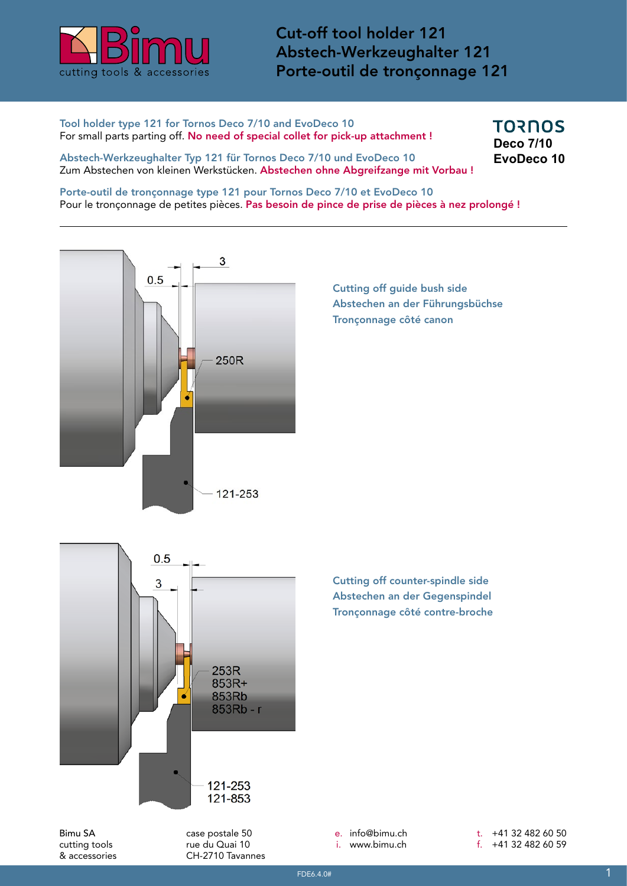

Cut-off tool holder 121 Abstech-Werkzeughalter 121 Porte-outil de tronçonnage 121

Tool holder type 121 for Tornos Deco 7/10 and EvoDeco 10 For small parts parting off. No need of special collet for pick-up attachment ! **TORNOS Deco 7/10 EvoDeco 10**

Abstech-Werkzeughalter Typ 121 für Tornos Deco 7/10 und EvoDeco 10 Zum Abstechen von kleinen Werkstücken. Abstechen ohne Abgreifzange mit Vorbau !

Porte-outil de tronçonnage type 121 pour Tornos Deco 7/10 et EvoDeco 10 Pour le tronçonnage de petites pièces. Pas besoin de pince de prise de pièces à nez prolongé !



Cutting off guide bush side Abstechen an der Führungsbüchse Tronçonnage côté canon



Cutting off counter-spindle side Abstechen an der Gegenspindel Tronçonnage côté contre-broche

Bimu SA cutting tools & accessories case postale 50 rue du Quai 10 CH-2710 Tavannes e. info@bimu.ch i. www.bimu.ch

t. +41 32 482 60 50 f. +41 32 482 60 59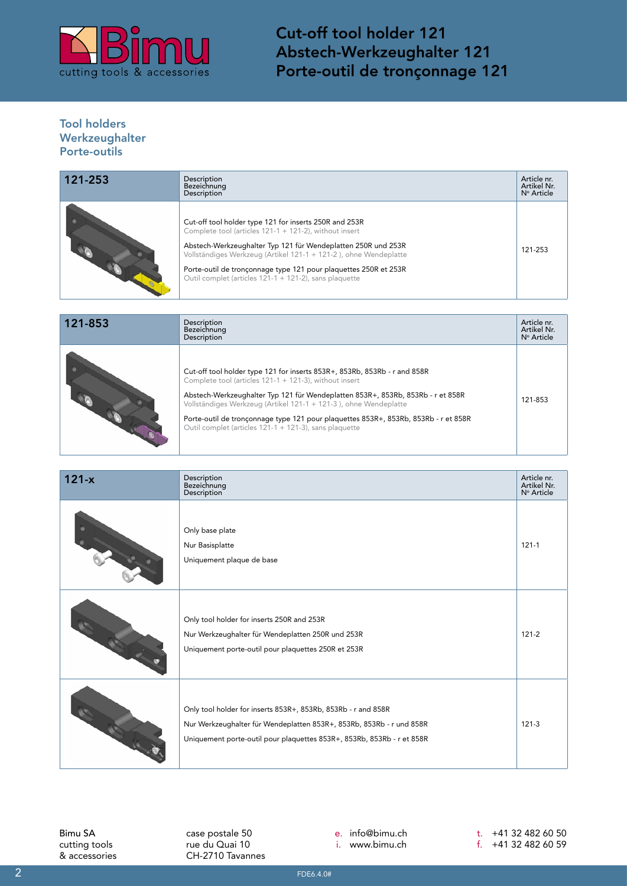

Cut-off tool holder 121 Abstech-Werkzeughalter 121 Porte-outil de tronçonnage 121

## Tool holders Werkzeughalter Porte-outils

| 121-253 | <b>Description</b><br>Bezeichnung<br><b>Description</b>                                                                                                                                                                                                                                                                                                                             | Article nr.<br>Artikel Nr.<br>N° Article |
|---------|-------------------------------------------------------------------------------------------------------------------------------------------------------------------------------------------------------------------------------------------------------------------------------------------------------------------------------------------------------------------------------------|------------------------------------------|
|         | Cut-off tool holder type 121 for inserts 250R and 253R<br>Complete tool (articles 121-1 + 121-2), without insert<br>Abstech-Werkzeughalter Typ 121 für Wendeplatten 250R und 253R<br>Vollständiges Werkzeug (Artikel 121-1 + 121-2), ohne Wendeplatte<br>Porte-outil de tronçonnage type 121 pour plaquettes 250R et 253R<br>Outil complet (articles 121-1 + 121-2), sans plaquette | 121-253                                  |

| 121-853 | Description<br>Bezeichnung<br>Description                                                                                                                                                                                                                                                     | Article nr.<br>Artikel Nr.<br>N° Article |
|---------|-----------------------------------------------------------------------------------------------------------------------------------------------------------------------------------------------------------------------------------------------------------------------------------------------|------------------------------------------|
|         | Cut-off tool holder type 121 for inserts 853R+, 853Rb, 853Rb - r and 858R<br>Complete tool (articles $121-1 + 121-3$ ), without insert<br>Abstech-Werkzeughalter Typ 121 für Wendeplatten 853R+, 853Rb, 853Rb - r et 858R<br>Vollständiges Werkzeug (Artikel 121-1 + 121-3), ohne Wendeplatte | 121-853                                  |
|         | Porte-outil de tronçonnage type 121 pour plaquettes 853R+, 853Rb, 853Rb - r et 858R<br>Outil complet (articles 121-1 + 121-3), sans plaquette                                                                                                                                                 |                                          |

| $121-x$ | Description<br>Bezeichnung<br><b>Description</b>                                                                                                                                                                | Article nr.<br>Artikel Nr.<br>N° Article |
|---------|-----------------------------------------------------------------------------------------------------------------------------------------------------------------------------------------------------------------|------------------------------------------|
|         | Only base plate<br>Nur Basisplatte<br>Uniquement plaque de base                                                                                                                                                 | $121 - 1$                                |
|         | Only tool holder for inserts 250R and 253R<br>Nur Werkzeughalter für Wendeplatten 250R und 253R<br>Uniquement porte-outil pour plaquettes 250R et 253R                                                          | $121 - 2$                                |
|         | Only tool holder for inserts 853R+, 853Rb, 853Rb - r and 858R<br>Nur Werkzeughalter für Wendeplatten 853R+, 853Rb, 853Rb - r und 858R<br>Uniquement porte-outil pour plaquettes 853R+, 853Rb, 853Rb - r et 858R | $121 - 3$                                |

Bimu SA cutting tools & accessories

case postale 50 rue du Quai 10 CH-2710 Tavannes e. info@bimu.ch

i. www.bimu.ch

t. +41 32 482 60 50 f. +41 32 482 60 59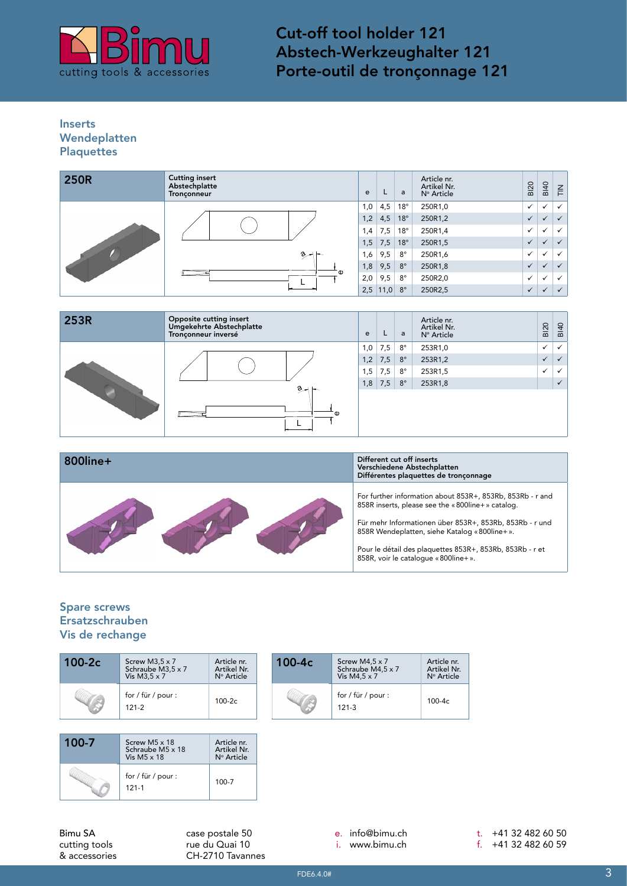

Cut-off tool holder 121 Abstech-Werkzeughalter 121 Porte-outil de tronçonnage 121

## Inserts Wendeplatten **Plaquettes**

| <b>250R</b> | <b>Cutting insert</b><br>Abstechplatte<br>Tronçonneur | e   | L    | a            | Article nr.<br>Artikel Nr.<br>Nº Article | <b>BI20</b>  | <b>BI40</b>  | $\sum_{i=1}^{n}$ |
|-------------|-------------------------------------------------------|-----|------|--------------|------------------------------------------|--------------|--------------|------------------|
|             |                                                       |     | 4,5  | $18^{\circ}$ | 250R1,0                                  | $\checkmark$ |              | $\checkmark$     |
|             |                                                       | 1,2 | 4,5  | $18^\circ$   | 250R1,2                                  | $\checkmark$ |              | $\checkmark$     |
|             |                                                       | 1,4 | 7,5  | $18^{\circ}$ | 250R1,4                                  | $\checkmark$ | $\checkmark$ | $\checkmark$     |
|             |                                                       | 1,5 | 7,5  | $18^{\circ}$ | 250R1,5                                  | $\checkmark$ |              | $\checkmark$     |
|             | اسره                                                  | 1,6 | 9,5  | $8^{\circ}$  | 250R1,6                                  | $\checkmark$ | ✓            | $\checkmark$     |
|             | ີ Φ                                                   | 1,8 | 9,5  | $8^{\circ}$  | 250R1,8                                  | $\checkmark$ | $\checkmark$ | $\checkmark$     |
|             |                                                       | 2,0 | 9,5  | $8^{\circ}$  | 250R2,0                                  | $\checkmark$ | $\checkmark$ | $\checkmark$     |
|             |                                                       | 2,5 | 11,0 | $8^{\circ}$  | 250R2,5                                  | $\checkmark$ | $\checkmark$ | $\checkmark$     |

| 253R | Opposite cutting insert<br>Umgekehrte Abstechplatte<br>Tronçonneur inversé | e   |     | a           | Article nr.<br>Artikel Nr.<br>Nº Article | <b>BI20</b>  | <b>BI40</b>  |
|------|----------------------------------------------------------------------------|-----|-----|-------------|------------------------------------------|--------------|--------------|
|      |                                                                            | 1,0 | 7,5 | $8^{\circ}$ | 253R1,0                                  | $\checkmark$ | $\checkmark$ |
|      |                                                                            | 1,2 | 7,5 | $8^{\circ}$ | 253R1,2                                  | $\checkmark$ | $\checkmark$ |
|      |                                                                            | 1,5 | 7,5 | $8^{\circ}$ | 253R1,5                                  | $\checkmark$ |              |
|      | $2 + 1$                                                                    | 1,8 | 7,5 | $8^{\circ}$ | 253R1,8                                  |              | $\checkmark$ |
|      | īΦ                                                                         |     |     |             |                                          |              |              |

| 800line+ | Different cut off inserts<br>Verschiedene Abstechplatten<br>Différentes plaquettes de tronçonnage                                                                                                                                                                                                                           |
|----------|-----------------------------------------------------------------------------------------------------------------------------------------------------------------------------------------------------------------------------------------------------------------------------------------------------------------------------|
|          | For further information about 853R+, 853Rb, 853Rb - r and<br>858R inserts, please see the «800line+» catalog.<br>Für mehr Informationen über 853R+, 853Rb, 853Rb - r und<br>858R Wendeplatten, siehe Katalog «800line+».<br>Pour le détail des plaquettes 853R+, 853Rb, 853Rb - r et<br>858R, voir le cataloque «800line+». |

## Spare screws Ersatzschrauben Vis de rechange

& accessories

| 100-2c                   | Screw M3,5 $\times$ 7<br>Schraube M3,5 x 7<br>Vis M3,5 $\times$ 7 | Article nr.<br>Artikel Nr.<br>Nº Article | 100-4c | Screw M4,5 x 7<br>Schraube M4,5 x 7<br>Vis M4,5 $\times$ 7 | Article nr.<br>Artikel Nr.<br>Nº Article |
|--------------------------|-------------------------------------------------------------------|------------------------------------------|--------|------------------------------------------------------------|------------------------------------------|
|                          | for / für / pour :<br>$121 - 2$                                   | $100-2c$                                 |        | for / für / pour :<br>$121 - 3$                            | 100-4c                                   |
|                          |                                                                   |                                          |        |                                                            |                                          |
| 100-7                    | Screw M5 x 18<br>Schraube M5 x 18<br>Vis M5 $\times$ 18           | Article nr.<br>Artikel Nr.<br>N° Article |        |                                                            |                                          |
|                          | for / für / pour :<br>$121 - 1$                                   | 100-7                                    |        |                                                            |                                          |
|                          |                                                                   |                                          |        |                                                            |                                          |
| Bimu SA<br>cutting tools |                                                                   | case postale 50<br>rue du Quai 10        |        | info@bimu.ch<br>$e_{1}$<br>www.bimu.ch                     |                                          |

CH-2710 Tavannes